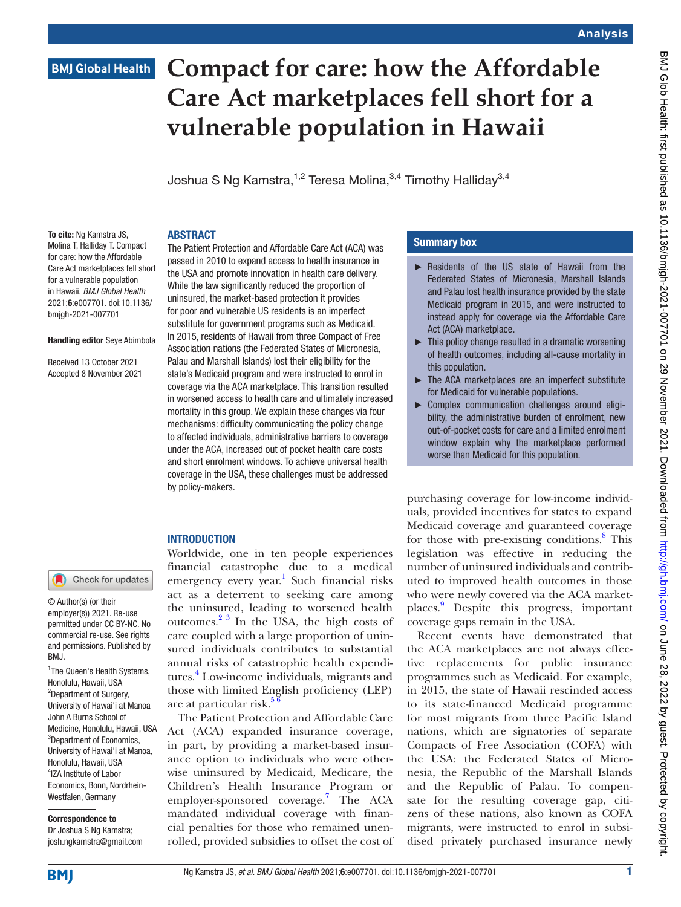## Analysis

# **BMJ Global Health**

# **Compact for care: how the Affordable Care Act marketplaces fell short for a vulnerable population in Hawaii**

Joshua S Ng Kamstra,  $1,2$  Teresa Molina,  $3,4$  Timothy Halliday  $3,4$ 

#### **ABSTRACT**

To cite: Ng Kamstra JS. Molina T, Halliday T. Compact for care: how the Affordable Care Act marketplaces fell short for a vulnerable population in Hawaii. *BMJ Global Health* 2021;6:e007701. doi:10.1136/ bmjgh-2021-007701

#### Handling editor Seye Abimbola

Received 13 October 2021 Accepted 8 November 2021

<sup>1</sup>The Queen's Health Systems, Honolulu, Hawaii, USA <sup>2</sup>Department of Surgery, University of Hawai'i at Manoa John A Burns School of Medicine, Honolulu, Hawaii, USA <sup>3</sup>Department of Economics, University of Hawai'i at Manoa, Honolulu, Hawaii, USA 4 IZA Institute of Labor Economics, Bonn, Nordrhein-Westfalen, Germany Correspondence to Dr Joshua S Ng Kamstra; josh.ngkamstra@gmail.com

Check for updates

© Author(s) (or their employer(s)) 2021. Re-use permitted under CC BY-NC. No commercial re-use. See rights and permissions. Published by

BMJ.

The Patient Protection and Affordable Care Act (ACA) was passed in 2010 to expand access to health insurance in the USA and promote innovation in health care delivery. While the law significantly reduced the proportion of uninsured, the market-based protection it provides for poor and vulnerable US residents is an imperfect substitute for government programs such as Medicaid. In 2015, residents of Hawaii from three Compact of Free Association nations (the Federated States of Micronesia, Palau and Marshall Islands) lost their eligibility for the state's Medicaid program and were instructed to enrol in coverage via the ACA marketplace. This transition resulted in worsened access to health care and ultimately increased mortality in this group. We explain these changes via four mechanisms: difficulty communicating the policy change to affected individuals, administrative barriers to coverage under the ACA, increased out of pocket health care costs and short enrolment windows. To achieve universal health coverage in the USA, these challenges must be addressed by policy-makers.

## **INTRODUCTION**

Worldwide, one in ten people experiences financial catastrophe due to a medical emergency every year.<sup>[1](#page-4-0)</sup> Such financial risks act as a deterrent to seeking care among the uninsured, leading to worsened health outcomes. $2^3$  In the USA, the high costs of care coupled with a large proportion of uninsured individuals contributes to substantial annual risks of catastrophic health expendi-tures.<sup>[4](#page-4-2)</sup> Low-income individuals, migrants and those with limited English proficiency (LEP) are at particular risk. $5<sup>6</sup>$ 

The Patient Protection and Affordable Care Act (ACA) expanded insurance coverage, in part, by providing a market-based insurance option to individuals who were otherwise uninsured by Medicaid, Medicare, the Children's Health Insurance Program or employer-sponsored coverage.[7](#page-4-4) The ACA mandated individual coverage with financial penalties for those who remained unenrolled, provided subsidies to offset the cost of

## Summary box

- ► Residents of the US state of Hawaii from the Federated States of Micronesia, Marshall Islands and Palau lost health insurance provided by the state Medicaid program in 2015, and were instructed to instead apply for coverage via the Affordable Care Act (ACA) marketplace.
- $\blacktriangleright$  This policy change resulted in a dramatic worsening of health outcomes, including all-cause mortality in this population.
- ► The ACA marketplaces are an imperfect substitute for Medicaid for vulnerable populations.
- Complex communication challenges around eligibility, the administrative burden of enrolment, new out-of-pocket costs for care and a limited enrolment window explain why the marketplace performed worse than Medicaid for this population.

purchasing coverage for low-income individuals, provided incentives for states to expand Medicaid coverage and guaranteed coverage for those with pre-existing conditions.<sup>[8](#page-4-5)</sup> This legislation was effective in reducing the number of uninsured individuals and contributed to improved health outcomes in those who were newly covered via the ACA marketplaces.[9](#page-4-6) Despite this progress, important coverage gaps remain in the USA.

Recent events have demonstrated that the ACA marketplaces are not always effective replacements for public insurance programmes such as Medicaid. For example, in 2015, the state of Hawaii rescinded access to its state-financed Medicaid programme for most migrants from three Pacific Island nations, which are signatories of separate Compacts of Free Association (COFA) with the USA: the Federated States of Micronesia, the Republic of the Marshall Islands and the Republic of Palau. To compensate for the resulting coverage gap, citizens of these nations, also known as COFA migrants, were instructed to enrol in subsidised privately purchased insurance newly

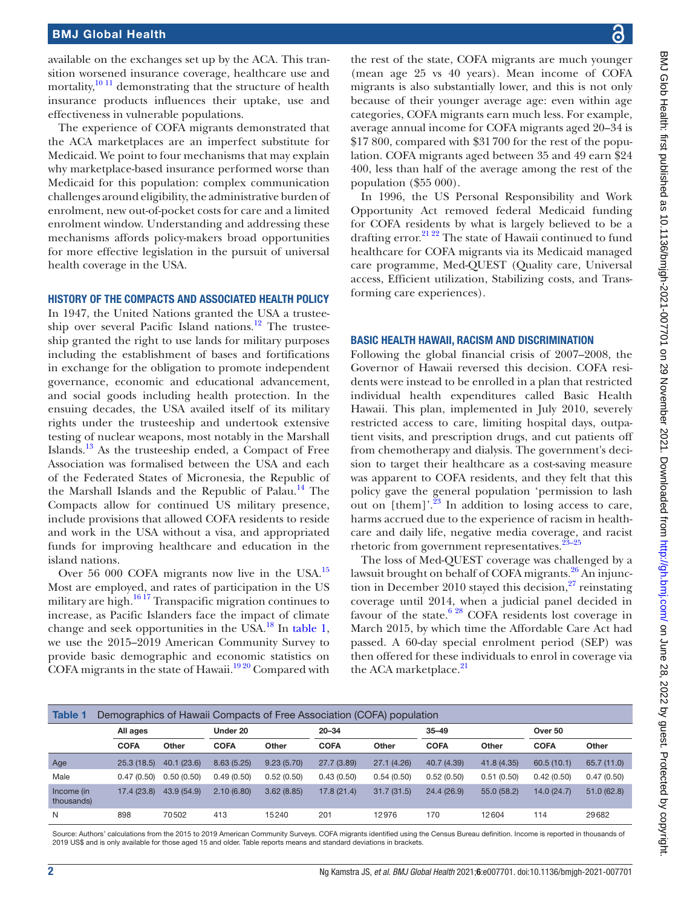## BMJ Global Health

available on the exchanges set up by the ACA. This transition worsened insurance coverage, healthcare use and mortality, $\frac{10 \text{ } 11}{100 \text{ }}$  demonstrating that the structure of health insurance products influences their uptake, use and effectiveness in vulnerable populations.

The experience of COFA migrants demonstrated that the ACA marketplaces are an imperfect substitute for Medicaid. We point to four mechanisms that may explain why marketplace-based insurance performed worse than Medicaid for this population: complex communication challenges around eligibility, the administrative burden of enrolment, new out-of-pocket costs for care and a limited enrolment window. Understanding and addressing these mechanisms affords policy-makers broad opportunities for more effective legislation in the pursuit of universal health coverage in the USA.

#### HISTORY OF THE COMPACTS AND ASSOCIATED HEALTH POLICY

In 1947, the United Nations granted the USA a trusteeship over several Pacific Island nations.<sup>12</sup> The trusteeship granted the right to use lands for military purposes including the establishment of bases and fortifications in exchange for the obligation to promote independent governance, economic and educational advancement, and social goods including health protection. In the ensuing decades, the USA availed itself of its military rights under the trusteeship and undertook extensive testing of nuclear weapons, most notably in the Marshall Islands. $^{13}$  As the trusteeship ended, a Compact of Free Association was formalised between the USA and each of the Federated States of Micronesia, the Republic of the Marshall Islands and the Republic of Palau.<sup>[14](#page-4-10)</sup> The Compacts allow for continued US military presence, include provisions that allowed COFA residents to reside and work in the USA without a visa, and appropriated funds for improving healthcare and education in the island nations.

Over 56 000 COFA migrants now live in the USA.<sup>15</sup> Most are employed, and rates of participation in the US military are high.[16 17](#page-4-12) Transpacific migration continues to increase, as Pacific Islanders face the impact of climate change and seek opportunities in the USA. $^{18}$  In [table](#page-1-0) 1, we use the 2015–2019 American Community Survey to provide basic demographic and economic statistics on COFA migrants in the state of Hawaii.<sup>[19 20](#page-4-14)</sup> Compared with

the rest of the state, COFA migrants are much younger (mean age 25 vs 40 years). Mean income of COFA migrants is also substantially lower, and this is not only because of their younger average age: even within age categories, COFA migrants earn much less. For example, average annual income for COFA migrants aged 20–34 is \$17 800, compared with \$31700 for the rest of the population. COFA migrants aged between 35 and 49 earn \$24 400, less than half of the average among the rest of the population (\$55 000).

In 1996, the US Personal Responsibility and Work Opportunity Act removed federal Medicaid funding for COFA residents by what is largely believed to be a drafting error.<sup>[21 22](#page-4-15)</sup> The state of Hawaii continued to fund healthcare for COFA migrants via its Medicaid managed care programme, Med-QUEST (Quality care, Universal access, Efficient utilization, Stabilizing costs, and Transforming care experiences).

#### BASIC HEALTH HAWAII, RACISM AND DISCRIMINATION

Following the global financial crisis of 2007–2008, the Governor of Hawaii reversed this decision. COFA residents were instead to be enrolled in a plan that restricted individual health expenditures called Basic Health Hawaii. This plan, implemented in July 2010, severely restricted access to care, limiting hospital days, outpatient visits, and prescription drugs, and cut patients off from chemotherapy and dialysis. The government's decision to target their healthcare as a cost-saving measure was apparent to COFA residents, and they felt that this policy gave the general population 'permission to lash out on  $[them]'^{23}$  In addition to losing access to care, harms accrued due to the experience of racism in healthcare and daily life, negative media coverage, and racist rhetoric from government representatives. $23-25$ 

The loss of Med-QUEST coverage was challenged by a lawsuit brought on behalf of COFA migrants.<sup>26</sup> An injunction in December 2010 stayed this decision, $27$  reinstating coverage until 2014, when a judicial panel decided in favour of the state.<sup>6 28</sup> COFA residents lost coverage in March 2015, by which time the Affordable Care Act had passed. A 60-day special enrolment period (SEP) was then offered for these individuals to enrol in coverage via the ACA marketplace.<sup>[21](#page-4-15)</sup>

<span id="page-1-0"></span>

| <b>Table 1</b><br>Demographics of Hawaii Compacts of Free Association (COFA) population |             |             |             |            |             |             |             |             |             |             |
|-----------------------------------------------------------------------------------------|-------------|-------------|-------------|------------|-------------|-------------|-------------|-------------|-------------|-------------|
|                                                                                         | All ages    |             | Under 20    |            | $20 - 34$   |             | $35 - 49$   |             | Over 50     |             |
|                                                                                         | <b>COFA</b> | Other       | <b>COFA</b> | Other      | <b>COFA</b> | Other       | <b>COFA</b> | Other       | <b>COFA</b> | Other       |
| Age                                                                                     | 25.3(18.5)  | 40.1 (23.6) | 8.63(5.25)  | 9.23(5.70) | 27.7(3.89)  | 27.1 (4.26) | 40.7 (4.39) | 41.8(4.35)  | 60.5(10.1)  | 65.7 (11.0) |
| Male                                                                                    | 0.47(0.50)  | 0.50(0.50)  | 0.49(0.50)  | 0.52(0.50) | 0.43(0.50)  | 0.54(0.50)  | 0.52(0.50)  | 0.51(0.50)  | 0.42(0.50)  | 0.47(0.50)  |
| Income (in<br>thousands)                                                                | 17.4(23.8)  | 43.9 (54.9) | 2.10(6.80)  | 3.62(8.85) | 17.8(21.4)  | 31.7(31.5)  | 24.4 (26.9) | 55.0 (58.2) | 14.0(24.7)  | 51.0(62.8)  |
| N                                                                                       | 898         | 70502       | 413         | 15240      | 201         | 12976       | 170         | 12604       | 114         | 29682       |

Source: Authors' calculations from the 2015 to 2019 American Community Surveys. COFA migrants identified using the Census Bureau definition. Income is reported in thousands of 2019 US\$ and is only available for those aged 15 and older. Table reports means and standard deviations in brackets.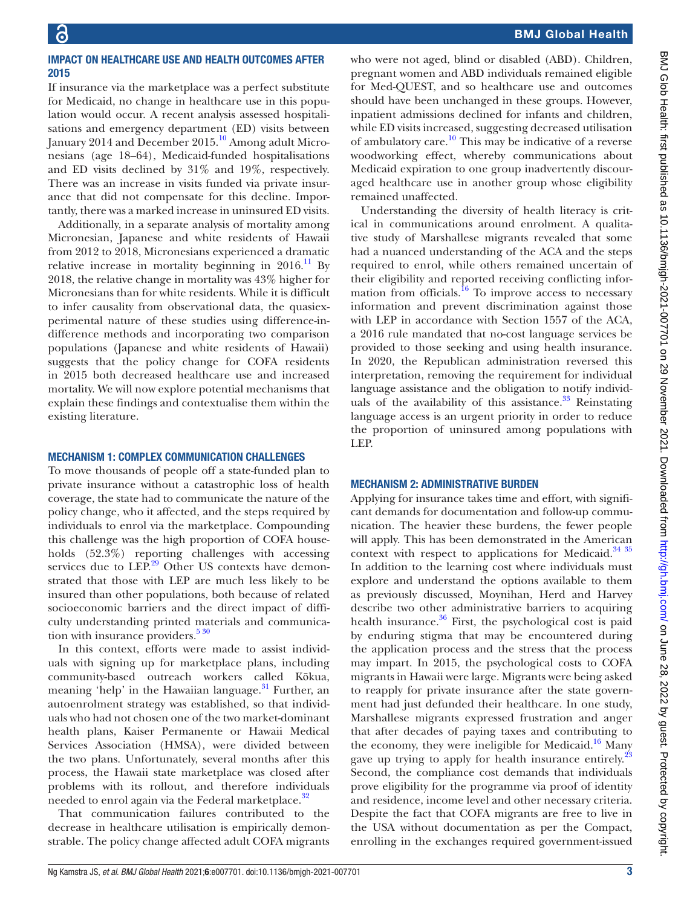## IMPACT ON HEALTHCARE USE AND HEALTH OUTCOMES AFTER 2015

If insurance via the marketplace was a perfect substitute for Medicaid, no change in healthcare use in this population would occur. A recent analysis assessed hospitalisations and emergency department (ED) visits between January 2014 and December 2015.<sup>10</sup> Among adult Micronesians (age 18–64), Medicaid-funded hospitalisations and ED visits declined by 31% and 19%, respectively. There was an increase in visits funded via private insurance that did not compensate for this decline. Importantly, there was a marked increase in uninsured ED visits.

Additionally, in a separate analysis of mortality among Micronesian, Japanese and white residents of Hawaii from 2012 to 2018, Micronesians experienced a dramatic relative increase in mortality beginning in  $2016<sup>11</sup>$  By 2018, the relative change in mortality was 43% higher for Micronesians than for white residents. While it is difficult to infer causality from observational data, the quasiexperimental nature of these studies using difference-indifference methods and incorporating two comparison populations (Japanese and white residents of Hawaii) suggests that the policy change for COFA residents in 2015 both decreased healthcare use and increased mortality. We will now explore potential mechanisms that explain these findings and contextualise them within the existing literature.

## MECHANISM 1: COMPLEX COMMUNICATION CHALLENGES

To move thousands of people off a state-funded plan to private insurance without a catastrophic loss of health coverage, the state had to communicate the nature of the policy change, who it affected, and the steps required by individuals to enrol via the marketplace. Compounding this challenge was the high proportion of COFA households (52.3%) reporting challenges with accessing services due to LEP.<sup>29</sup> Other US contexts have demonstrated that those with LEP are much less likely to be insured than other populations, both because of related socioeconomic barriers and the direct impact of difficulty understanding printed materials and communication with insurance providers. $5\frac{30}{2}$ 

In this context, efforts were made to assist individuals with signing up for marketplace plans, including community-based outreach workers called Kōkua, meaning 'help' in the Hawaiian language.<sup>31</sup> Further, an autoenrolment strategy was established, so that individuals who had not chosen one of the two market-dominant health plans, Kaiser Permanente or Hawaii Medical Services Association (HMSA), were divided between the two plans. Unfortunately, several months after this process, the Hawaii state marketplace was closed after problems with its rollout, and therefore individuals needed to enrol again via the Federal marketplace.<sup>[32](#page-5-1)</sup>

That communication failures contributed to the decrease in healthcare utilisation is empirically demonstrable. The policy change affected adult COFA migrants

who were not aged, blind or disabled (ABD). Children, pregnant women and ABD individuals remained eligible for Med-QUEST, and so healthcare use and outcomes should have been unchanged in these groups. However, inpatient admissions declined for infants and children, while ED visits increased, suggesting decreased utilisation of ambulatory care.<sup>[10](#page-4-7)</sup> This may be indicative of a reverse woodworking effect, whereby communications about Medicaid expiration to one group inadvertently discouraged healthcare use in another group whose eligibility remained unaffected.

Understanding the diversity of health literacy is critical in communications around enrolment. A qualitative study of Marshallese migrants revealed that some had a nuanced understanding of the ACA and the steps required to enrol, while others remained uncertain of their eligibility and reported receiving conflicting information from officials.<sup>16</sup> To improve access to necessary information and prevent discrimination against those with LEP in accordance with Section 1557 of the ACA, a 2016 rule mandated that no-cost language services be provided to those seeking and using health insurance. In 2020, the Republican administration reversed this interpretation, removing the requirement for individual language assistance and the obligation to notify individuals of the availability of this assistance. $33$  Reinstating language access is an urgent priority in order to reduce the proportion of uninsured among populations with LEP.

## MECHANISM 2: ADMINISTRATIVE BURDEN

Applying for insurance takes time and effort, with significant demands for documentation and follow-up communication. The heavier these burdens, the fewer people will apply. This has been demonstrated in the American context with respect to applications for Medicaid.<sup>[34 35](#page-5-3)</sup> In addition to the learning cost where individuals must explore and understand the options available to them as previously discussed, Moynihan, Herd and Harvey describe two other administrative barriers to acquiring health insurance. $36$  First, the psychological cost is paid by enduring stigma that may be encountered during the application process and the stress that the process may impart. In 2015, the psychological costs to COFA migrants in Hawaii were large. Migrants were being asked to reapply for private insurance after the state government had just defunded their healthcare. In one study, Marshallese migrants expressed frustration and anger that after decades of paying taxes and contributing to the economy, they were ineligible for Medicaid.<sup>16</sup> Many gave up trying to apply for health insurance entirely.<sup>23</sup> Second, the compliance cost demands that individuals prove eligibility for the programme via proof of identity and residence, income level and other necessary criteria. Despite the fact that COFA migrants are free to live in the USA without documentation as per the Compact, enrolling in the exchanges required government-issued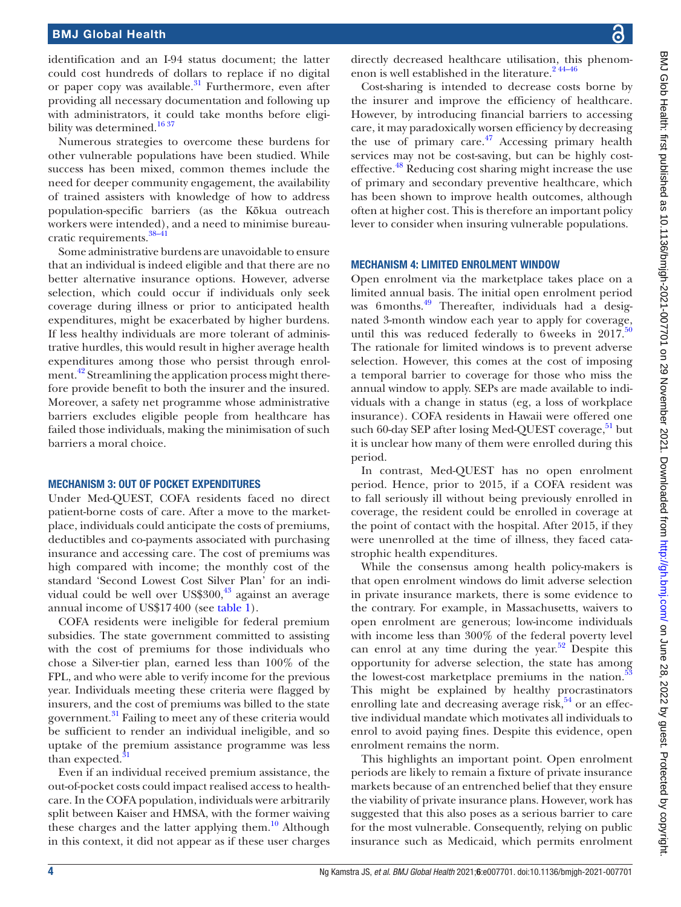identification and an I-94 status document; the latter could cost hundreds of dollars to replace if no digital or paper copy was available. $31$  Furthermore, even after providing all necessary documentation and following up with administrators, it could take months before eligibility was determined.<sup>16 37</sup>

Numerous strategies to overcome these burdens for other vulnerable populations have been studied. While success has been mixed, common themes include the need for deeper community engagement, the availability of trained assisters with knowledge of how to address population-specific barriers (as the Kōkua outreach workers were intended), and a need to minimise bureau-cratic requirements.<sup>[38–41](#page-5-5)</sup>

Some administrative burdens are unavoidable to ensure that an individual is indeed eligible and that there are no better alternative insurance options. However, adverse selection, which could occur if individuals only seek coverage during illness or prior to anticipated health expenditures, might be exacerbated by higher burdens. If less healthy individuals are more tolerant of administrative hurdles, this would result in higher average health expenditures among those who persist through enrol-ment.<sup>[42](#page-5-6)</sup> Streamlining the application process might therefore provide benefit to both the insurer and the insured. Moreover, a safety net programme whose administrative barriers excludes eligible people from healthcare has failed those individuals, making the minimisation of such barriers a moral choice.

#### MECHANISM 3: OUT OF POCKET EXPENDITURES

Under Med-QUEST, COFA residents faced no direct patient-borne costs of care. After a move to the marketplace, individuals could anticipate the costs of premiums, deductibles and co-payments associated with purchasing insurance and accessing care. The cost of premiums was high compared with income; the monthly cost of the standard 'Second Lowest Cost Silver Plan' for an individual could be well over  $US$300<sup>43</sup>$  $US$300<sup>43</sup>$  $US$300<sup>43</sup>$  against an average annual income of US\$17400 (see [table](#page-1-0) 1).

COFA residents were ineligible for federal premium subsidies. The state government committed to assisting with the cost of premiums for those individuals who chose a Silver-tier plan, earned less than 100% of the FPL, and who were able to verify income for the previous year. Individuals meeting these criteria were flagged by insurers, and the cost of premiums was billed to the state government.<sup>[31](#page-5-0)</sup> Failing to meet any of these criteria would be sufficient to render an individual ineligible, and so uptake of the premium assistance programme was less than expected. $\frac{3}{5}$ 

Even if an individual received premium assistance, the out-of-pocket costs could impact realised access to healthcare. In the COFA population, individuals were arbitrarily split between Kaiser and HMSA, with the former waiving these charges and the latter applying them. $10^{\circ}$  Although in this context, it did not appear as if these user charges

directly decreased healthcare utilisation, this phenomenon is well established in the literature.<sup>244-46</sup>

Cost-sharing is intended to decrease costs borne by the insurer and improve the efficiency of healthcare. However, by introducing financial barriers to accessing care, it may paradoxically worsen efficiency by decreasing the use of primary care. $47$  Accessing primary health services may not be cost-saving, but can be highly costeffective.<sup>48</sup> Reducing cost sharing might increase the use of primary and secondary preventive healthcare, which has been shown to improve health outcomes, although often at higher cost. This is therefore an important policy lever to consider when insuring vulnerable populations.

#### MECHANISM 4: LIMITED ENROLMENT WINDOW

Open enrolment via the marketplace takes place on a limited annual basis. The initial open enrolment period was 6 months.<sup>49</sup> Thereafter, individuals had a designated 3-month window each year to apply for coverage, until this was reduced federally to 6weeks in  $2017$ .<sup>[50](#page-5-11)</sup> The rationale for limited windows is to prevent adverse selection. However, this comes at the cost of imposing a temporal barrier to coverage for those who miss the annual window to apply. SEPs are made available to individuals with a change in status (eg, a loss of workplace insurance). COFA residents in Hawaii were offered one such 60-day SEP after losing Med-QUEST coverage, $51$  but it is unclear how many of them were enrolled during this period.

In contrast, Med-QUEST has no open enrolment period. Hence, prior to 2015, if a COFA resident was to fall seriously ill without being previously enrolled in coverage, the resident could be enrolled in coverage at the point of contact with the hospital. After 2015, if they were unenrolled at the time of illness, they faced catastrophic health expenditures.

While the consensus among health policy-makers is that open enrolment windows do limit adverse selection in private insurance markets, there is some evidence to the contrary. For example, in Massachusetts, waivers to open enrolment are generous; low-income individuals with income less than 300% of the federal poverty level can enrol at any time during the year.<sup>52</sup> Despite this opportunity for adverse selection, the state has among the lowest-cost marketplace premiums in the nation.<sup>5</sup> This might be explained by healthy procrastinators enrolling late and decreasing average risk,<sup>54</sup> or an effective individual mandate which motivates all individuals to enrol to avoid paying fines. Despite this evidence, open enrolment remains the norm.

This highlights an important point. Open enrolment periods are likely to remain a fixture of private insurance markets because of an entrenched belief that they ensure the viability of private insurance plans. However, work has suggested that this also poses as a serious barrier to care for the most vulnerable. Consequently, relying on public insurance such as Medicaid, which permits enrolment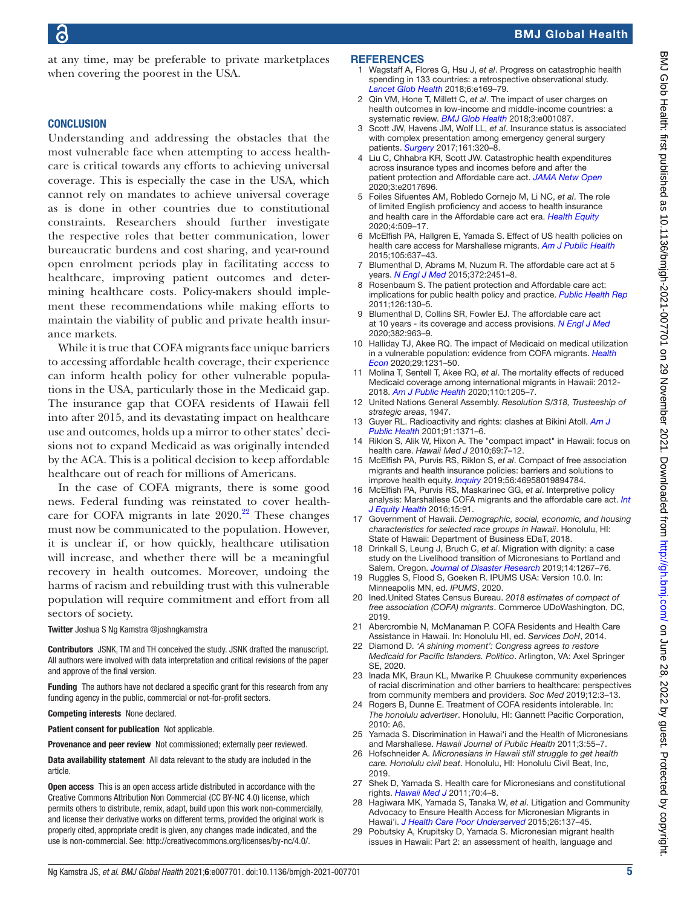at any time, may be preferable to private marketplaces when covering the poorest in the USA.

### **CONCLUSION**

Understanding and addressing the obstacles that the most vulnerable face when attempting to access healthcare is critical towards any efforts to achieving universal coverage. This is especially the case in the USA, which cannot rely on mandates to achieve universal coverage as is done in other countries due to constitutional constraints. Researchers should further investigate the respective roles that better communication, lower bureaucratic burdens and cost sharing, and year-round open enrolment periods play in facilitating access to healthcare, improving patient outcomes and determining healthcare costs. Policy-makers should implement these recommendations while making efforts to maintain the viability of public and private health insurance markets.

While it is true that COFA migrants face unique barriers to accessing affordable health coverage, their experience can inform health policy for other vulnerable populations in the USA, particularly those in the Medicaid gap. The insurance gap that COFA residents of Hawaii fell into after 2015, and its devastating impact on healthcare use and outcomes, holds up a mirror to other states' decisions not to expand Medicaid as was originally intended by the ACA. This is a political decision to keep affordable healthcare out of reach for millions of Americans.

In the case of COFA migrants, there is some good news. Federal funding was reinstated to cover healthcare for COFA migrants in late  $2020$ .<sup>[22](#page-4-22)</sup> These changes must now be communicated to the population. However, it is unclear if, or how quickly, healthcare utilisation will increase, and whether there will be a meaningful recovery in health outcomes. Moreover, undoing the harms of racism and rebuilding trust with this vulnerable population will require commitment and effort from all sectors of society.

Twitter Joshua S Ng Kamstra [@joshngkamstra](https://twitter.com/joshngkamstra)

Contributors JSNK, TM and TH conceived the study. JSNK drafted the manuscript. All authors were involved with data interpretation and critical revisions of the paper and approve of the final version.

Funding The authors have not declared a specific grant for this research from any funding agency in the public, commercial or not-for-profit sectors.

#### Competing interests None declared.

Patient consent for publication Not applicable.

Provenance and peer review Not commissioned; externally peer reviewed.

Data availability statement All data relevant to the study are included in the article.

Open access This is an open access article distributed in accordance with the Creative Commons Attribution Non Commercial (CC BY-NC 4.0) license, which permits others to distribute, remix, adapt, build upon this work non-commercially, and license their derivative works on different terms, provided the original work is properly cited, appropriate credit is given, any changes made indicated, and the use is non-commercial. See:<http://creativecommons.org/licenses/by-nc/4.0/>.

#### **REFERENCES**

- <span id="page-4-0"></span>1 Wagstaff A, Flores G, Hsu J, *et al*. Progress on catastrophic health spending in 133 countries: a retrospective observational study. *[Lancet Glob Health](http://dx.doi.org/10.1016/S2214-109X(17)30429-1)* 2018;6:e169–79.
- <span id="page-4-1"></span>2 Qin VM, Hone T, Millett C, *et al*. The impact of user charges on health outcomes in low-income and middle-income countries: a systematic review. *[BMJ Glob Health](http://dx.doi.org/10.1136/bmjgh-2018-001087)* 2018;3:e001087.
- 3 Scott JW, Havens JM, Wolf LL, *et al*. Insurance status is associated with complex presentation among emergency general surgery patients. *[Surgery](http://dx.doi.org/10.1016/j.surg.2016.08.038)* 2017;161:320–8.
- <span id="page-4-2"></span>4 Liu C, Chhabra KR, Scott JW. Catastrophic health expenditures across insurance types and incomes before and after the patient protection and Affordable care act. *[JAMA Netw Open](http://dx.doi.org/10.1001/jamanetworkopen.2020.17696)* 2020;3:e2017696.
- <span id="page-4-3"></span>5 Foiles Sifuentes AM, Robledo Cornejo M, Li NC, *et al*. The role of limited English proficiency and access to health insurance and health care in the Affordable care act era. *[Health Equity](http://dx.doi.org/10.1089/heq.2020.0057)* 2020;4:509–17.
- <span id="page-4-19"></span>6 McElfish PA, Hallgren E, Yamada S. Effect of US health policies on health care access for Marshallese migrants. *[Am J Public Health](http://dx.doi.org/10.2105/AJPH.2014.302452)* 2015;105:637–43.
- <span id="page-4-4"></span>7 Blumenthal D, Abrams M, Nuzum R. The affordable care act at 5 years. *[N Engl J Med](http://dx.doi.org/10.1056/NEJMhpr1503614)* 2015;372:2451–8.
- <span id="page-4-5"></span>Rosenbaum S. The patient protection and Affordable care act: implications for public health policy and practice. *[Public Health Rep](http://dx.doi.org/10.1177/003335491112600118)* 2011;126:130–5.
- <span id="page-4-6"></span>Blumenthal D, Collins SR, Fowler EJ. The affordable care act at 10 years - its coverage and access provisions. *[N Engl J Med](http://dx.doi.org/10.1056/NEJMhpr1916091)* 2020;382:963–9.
- <span id="page-4-7"></span>10 Halliday TJ, Akee RQ. The impact of Medicaid on medical utilization in a vulnerable population: evidence from COFA migrants. *[Health](http://dx.doi.org/10.1002/hec.4132)  [Econ](http://dx.doi.org/10.1002/hec.4132)* 2020;29:1231–50.
- <span id="page-4-20"></span>11 Molina T, Sentell T, Akee RQ, *et al*. The mortality effects of reduced Medicaid coverage among international migrants in Hawaii: 2012- 2018. *[Am J Public Health](http://dx.doi.org/10.2105/AJPH.2020.305687)* 2020;110:1205–7.
- <span id="page-4-8"></span>12 United Nations General Assembly. *Resolution S/318, Trusteeship of strategic areas*, 1947.
- <span id="page-4-9"></span>13 Guyer RL. Radioactivity and rights: clashes at Bikini Atoll. *[Am J](http://dx.doi.org/10.2105/ajph.91.9.1371)  [Public Health](http://dx.doi.org/10.2105/ajph.91.9.1371)* 2001;91:1371–6.
- <span id="page-4-10"></span>14 Riklon S, Alik W, Hixon A. The "compact impact" in Hawaii: focus on health care. *Hawaii Med J* 2010;69:7–12.
- <span id="page-4-11"></span>15 McElfish PA, Purvis RS, Riklon S, *et al*. Compact of free association migrants and health insurance policies: barriers and solutions to improve health equity. *[Inquiry](http://dx.doi.org/10.1177/0046958019894784)* 2019;56:46958019894784.
- <span id="page-4-12"></span>16 McElfish PA, Purvis RS, Maskarinec GG, *et al*. Interpretive policy analysis: Marshallese COFA migrants and the affordable care act. *[Int](http://dx.doi.org/10.1186/s12939-016-0381-1)  [J Equity Health](http://dx.doi.org/10.1186/s12939-016-0381-1)* 2016;15:91.
- 17 Government of Hawaii. *Demographic, social, economic, and housing characteristics for selected race groups in Hawaii*. Honolulu, HI: State of Hawaii: Department of Business EDaT, 2018.
- <span id="page-4-13"></span>18 Drinkall S, Leung J, Bruch C, *et al*. Migration with dignity: a case study on the Livelihood transition of Micronesians to Portland and Salem, Oregon. *[Journal of Disaster Research](http://dx.doi.org/10.20965/jdr.2019.p1267)* 2019;14:1267–76.
- <span id="page-4-14"></span>19 Ruggles S, Flood S, Goeken R. IPUMS USA: Version 10.0. In: Minneapolis MN, ed. *IPUMS*, 2020.
- 20 Ined.United States Census Bureau. *2018 estimates of compact of free association (COFA) migrants*. Commerce UDoWashington, DC, 2019.
- <span id="page-4-15"></span>21 Abercrombie N, McManaman P. COFA Residents and Health Care Assistance in Hawaii. In: Honolulu HI, ed. *Services DoH*, 2014.
- <span id="page-4-22"></span>22 Diamond D. *'A shining moment': Congress agrees to restore Medicaid for Pacific Islanders. Politico*. Arlington, VA: Axel Springer SE, 2020.
- <span id="page-4-16"></span>23 Inada MK, Braun KL, Mwarike P. Chuukese community experiences of racial discrimination and other barriers to healthcare: perspectives from community members and providers. *Soc Med* 2019;12:3–13.
- 24 Rogers B, Dunne E. Treatment of COFA residents intolerable. In: *The honolulu advertiser*. Honolulu, HI: Gannett Pacific Corporation, 2010: A6.
- 25 Yamada S. Discrimination in Hawai'i and the Health of Micronesians and Marshallese. *Hawaii Journal of Public Health* 2011;3:55–7.
- <span id="page-4-17"></span>26 Hofschneider A. *Micronesians in Hawaii still struggle to get health care. Honolulu civil beat*. Honolulu, HI: Honolulu Civil Beat, Inc, 2019.
- <span id="page-4-18"></span>27 Shek D, Yamada S. Health care for Micronesians and constitutional rights. *[Hawaii Med J](http://www.ncbi.nlm.nih.gov/pubmed/22235150)* 2011;70:4–8.
- 28 Hagiwara MK, Yamada S, Tanaka W, *et al*. Litigation and Community Advocacy to Ensure Health Access for Micronesian Migrants in Hawai'i. *[J Health Care Poor Underserved](http://dx.doi.org/10.1353/hpu.2015.0065)* 2015;26:137–45.
- <span id="page-4-21"></span>29 Pobutsky A, Krupitsky D, Yamada S. Micronesian migrant health issues in Hawaii: Part 2: an assessment of health, language and